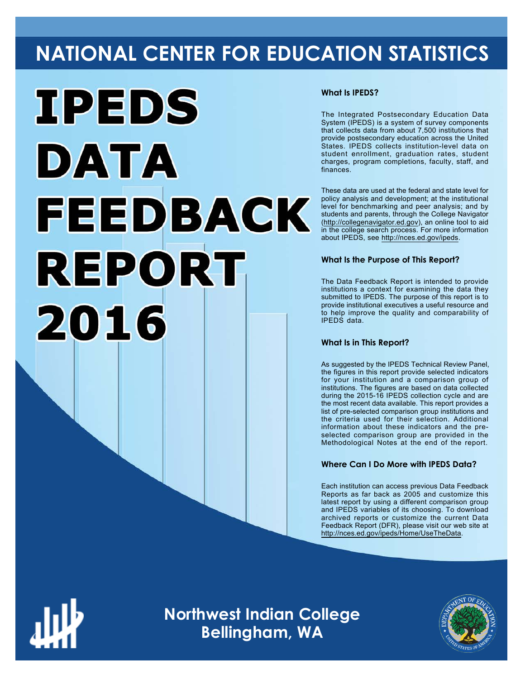# **NATIONAL CENTER FOR EDUCATION STATISTICS**



# **What Is IPEDS?**

The Integrated Postsecondary Education Data System (IPEDS) is a system of survey components that collects data from about 7,500 institutions that provide postsecondary education across the United States. IPEDS collects institution-level data on student enrollment, graduation rates, student charges, program completions, faculty, staff, and finances.

These data are used at the federal and state level for policy analysis and development; at the institutional level for benchmarking and peer analysis; and by students and parents, through the College Navigator ([http://collegenavigator.ed.gov\)](http://collegenavigator.ed.gov), an online tool to aid in the college search process. For more information about IPEDS, see [http://nces.ed.gov/ipeds.](http://nces.ed.gov/ipeds)

# **What Is the Purpose of This Report?**

The Data Feedback Report is intended to provide institutions a context for examining the data they submitted to IPEDS. The purpose of this report is to provide institutional executives a useful resource and to help improve the quality and comparability of IPEDS data.

# **What Is in This Report?**

As suggested by the IPEDS Technical Review Panel, the figures in this report provide selected indicators for your institution and a comparison group of institutions. The figures are based on data collected during the 2015-16 IPEDS collection cycle and are the most recent data available. This report provides a list of pre-selected comparison group institutions and the criteria used for their selection. Additional information about these indicators and the preselected comparison group are provided in the Methodological Notes at the end of the report.

# **Where Can I Do More with IPEDS Data?**

Each institution can access previous Data Feedback Reports as far back as 2005 and customize this latest report by using a different comparison group and IPEDS variables of its choosing. To download archived reports or customize the current Data Feedback Report (DFR), please visit our web site at [http://nces.ed.gov/ipeds/Home/UseTheData.](http://nces.ed.gov/ipeds/Home/UseTheData)



**Northwest Indian College Bellingham, WA**

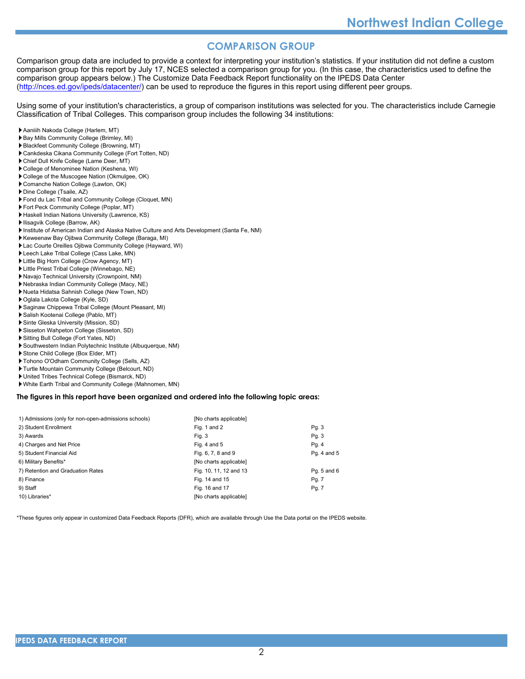# **COMPARISON GROUP**

Comparison group data are included to provide a context for interpreting your institution's statistics. If your institution did not define a custom comparison group for this report by July 17, NCES selected a comparison group for you. (In this case, the characteristics used to define the comparison group appears below.) The Customize Data Feedback Report functionality on the IPEDS Data Center [\(http://nces.ed.gov/ipeds/datacenter/\)](http://nces.ed.gov/ipeds/datacenter/) can be used to reproduce the figures in this report using different peer groups.

Using some of your institution's characteristics, a group of comparison institutions was selected for you. The characteristics include Carnegie Classification of Tribal Colleges. This comparison group includes the following 34 institutions:

- Aaniiih Nakoda College (Harlem, MT)
- Bay Mills Community College (Brimley, MI)
- Blackfeet Community College (Browning, MT)
- Cankdeska Cikana Community College (Fort Totten, ND)
- Chief Dull Knife College (Lame Deer, MT)
- College of Menominee Nation (Keshena, WI)
- College of the Muscogee Nation (Okmulgee, OK)
- Comanche Nation College (Lawton, OK)
- Dine College (Tsaile, AZ)
- Fond du Lac Tribal and Community College (Cloquet, MN)
- Fort Peck Community College (Poplar, MT)
- Haskell Indian Nations University (Lawrence, KS)
- Ilisagvik College (Barrow, AK)
- Institute of American Indian and Alaska Native Culture and Arts Development (Santa Fe, NM)
- Keweenaw Bay Ojibwa Community College (Baraga, MI)
- Lac Courte Oreilles Ojibwa Community College (Hayward, WI)
- Leech Lake Tribal College (Cass Lake, MN)
- Little Big Horn College (Crow Agency, MT)
- Little Priest Tribal College (Winnebago, NE)
- Navajo Technical University (Crownpoint, NM)
- Nebraska Indian Community College (Macy, NE)
- Nueta Hidatsa Sahnish College (New Town, ND)
- Oglala Lakota College (Kyle, SD)
- Saginaw Chippewa Tribal College (Mount Pleasant, MI)
- Salish Kootenai College (Pablo, MT)
- Sinte Gleska University (Mission, SD)
- Sisseton Wahpeton College (Sisseton, SD)
- Sitting Bull College (Fort Yates, ND)
- Southwestern Indian Polytechnic Institute (Albuquerque, NM)
- Stone Child College (Box Elder, MT)
- Tohono O'Odham Community College (Sells, AZ)
- Turtle Mountain Community College (Belcourt, ND)
- United Tribes Technical College (Bismarck, ND)
- White Earth Tribal and Community College (Mahnomen, MN)

#### **The figures in this report have been organized and ordered into the following topic areas:**

| 1) Admissions (only for non-open-admissions schools) | [No charts applicable] |             |
|------------------------------------------------------|------------------------|-------------|
| 2) Student Enrollment                                | Fig. 1 and 2           | Pg. 3       |
| 3) Awards                                            | Fig. 3                 | Pg. 3       |
| 4) Charges and Net Price                             | Fig. 4 and $5$         | Pg. 4       |
| 5) Student Financial Aid                             | Fig. 6, 7, 8 and 9     | Pg. 4 and 5 |
| 6) Military Benefits*                                | [No charts applicable] |             |
| 7) Retention and Graduation Rates                    | Fig. 10, 11, 12 and 13 | Pg. 5 and 6 |
| 8) Finance                                           | Fig. 14 and 15         | Pg. 7       |
| 9) Staff                                             | Fig. 16 and 17         | Pg. 7       |
| 10) Libraries*                                       | [No charts applicable] |             |

\*These figures only appear in customized Data Feedback Reports (DFR), which are available through Use the Data portal on the IPEDS website.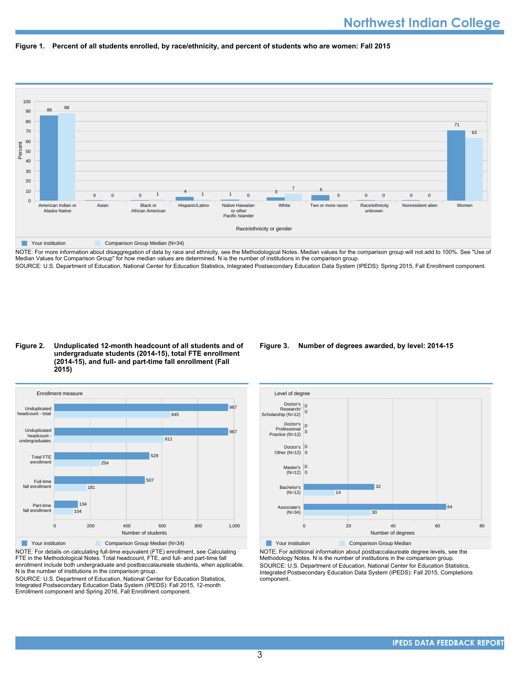



NOTE: For more information about disaggregation of data by race and ethnicity, see the Methodological Notes. Median values for the comparison group will not add to 100%. See "Use of Median Values for Comparison Group" for how median values are determined. N is the number of institutions in the comparison group. SOURCE: U.S. Department of Education, National Center for Education Statistics, Integrated Postsecondary Education Data System (IPEDS): Spring 2015, Fall Enrollment component.

## **Figure 2. Unduplicated 12-month headcount of all students and of undergraduate students (2014-15), total FTE enrollment (2014-15), and full- and part-time fall enrollment (Fall 2015)**



NOTE: For details on calculating full-time equivalent (FTE) enrollment, see Calculating FTE in the Methodological Notes. Total headcount, FTE, and full- and part-time fall enrollment include both undergraduate and postbaccalaureate students, when applicable. N is the number of institutions in the comparison group.

SOURCE: U.S. Department of Education, National Center for Education Statistics, Integrated Postsecondary Education Data System (IPEDS): Fall 2015, 12-month Enrollment component and Spring 2016, Fall Enrollment component.

## **Figure 3. Number of degrees awarded, by level: 2014-15**



NOTE: For additional information about postbaccalaureate degree levels, see the Methodology Notes. N is the number of institutions in the comparison group.

SOURCE: U.S. Department of Education, National Center for Education Statistics, Integrated Postsecondary Education Data System (IPEDS): Fall 2015, Completions component.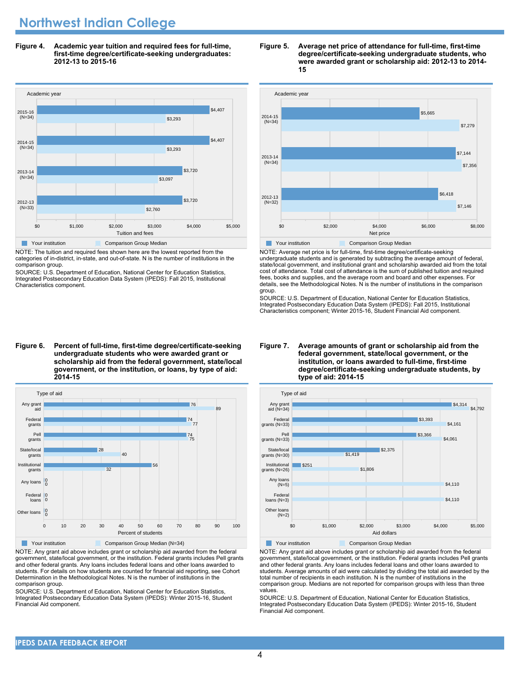# **Northwest Indian College**

**Figure 4. Academic year tuition and required fees for full-time, first-time degree/certificate-seeking undergraduates: 2012-13 to 2015-16**



NOTE: The tuition and required fees shown here are the lowest reported from the categories of in-district, in-state, and out-of-state. N is the number of institutions in the comparison group.

SOURCE: U.S. Department of Education, National Center for Education Statistics, Integrated Postsecondary Education Data System (IPEDS): Fall 2015, Institutional Characteristics component.

#### **Figure 6. Percent of full-time, first-time degree/certificate-seeking undergraduate students who were awarded grant or scholarship aid from the federal government, state/local government, or the institution, or loans, by type of aid: 2014-15**



NOTE: Any grant aid above includes grant or scholarship aid awarded from the federal government, state/local government, or the institution. Federal grants includes Pell grants and other federal grants. Any loans includes federal loans and other loans awarded to students. For details on how students are counted for financial aid reporting, see Cohort Determination in the Methodological Notes. N is the number of institutions in the comparison group.

SOURCE: U.S. Department of Education, National Center for Education Statistics, Integrated Postsecondary Education Data System (IPEDS): Winter 2015-16, Student Financial Aid component.

#### **Figure 5. Average net price of attendance for full-time, first-time degree/certificate-seeking undergraduate students, who were awarded grant or scholarship aid: 2012-13 to 2014- 15**



NOTE: Average net price is for full-time, first-time degree/certificate-seeking undergraduate students and is generated by subtracting the average amount of federal, state/local government, and institutional grant and scholarship awarded aid from the total cost of attendance. Total cost of attendance is the sum of published tuition and required fees, books and supplies, and the average room and board and other expenses. For details, see the Methodological Notes. N is the number of institutions in the comparison group.

SOURCE: U.S. Department of Education, National Center for Education Statistics, Integrated Postsecondary Education Data System (IPEDS): Fall 2015, Institutional Characteristics component; Winter 2015-16, Student Financial Aid component.



Your institution **Comparison Group Median** 

NOTE: Any grant aid above includes grant or scholarship aid awarded from the federal government, state/local government, or the institution. Federal grants includes Pell grants and other federal grants. Any loans includes federal loans and other loans awarded to students. Average amounts of aid were calculated by dividing the total aid awarded by the total number of recipients in each institution. N is the number of institutions in the comparison group. Medians are not reported for comparison groups with less than three values.

SOURCE: U.S. Department of Education, National Center for Education Statistics, Integrated Postsecondary Education Data System (IPEDS): Winter 2015-16, Student Financial Aid component.

#### **Figure 7. Average amounts of grant or scholarship aid from the federal government, state/local government, or the institution, or loans awarded to full-time, first-time degree/certificate-seeking undergraduate students, by type of aid: 2014-15**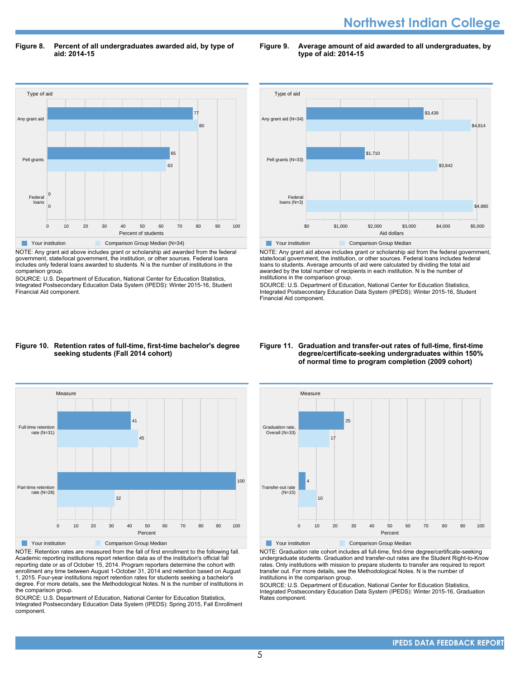# **Northwest Indian College**

**Figure 8. Percent of all undergraduates awarded aid, by type of aid: 2014-15**

Type of aid 0 10 20 30 40 50 60 70 80 90 100 Percent of students Federal loans Pell grants Any grant aid  $\overline{0}$ 0 63 <u>م</u> 80 77 **The Comparison Group Median (N=34)** Comparison Group Median (N=34)

NOTE: Any grant aid above includes grant or scholarship aid awarded from the federal government, state/local government, the institution, or other sources. Federal loans includes only federal loans awarded to students. N is the number of institutions in the comparison group.

SOURCE: U.S. Department of Education, National Center for Education Statistics, Integrated Postsecondary Education Data System (IPEDS): Winter 2015-16, Student Financial Aid component.



**Figure 9. Average amount of aid awarded to all undergraduates, by**

**type of aid: 2014-15**

NOTE: Any grant aid above includes grant or scholarship aid from the federal government, state/local government, the institution, or other sources. Federal loans includes federal loans to students. Average amounts of aid were calculated by dividing the total aid awarded by the total number of recipients in each institution. N is the number of institutions in the comparison group.

SOURCE: U.S. Department of Education, National Center for Education Statistics, Integrated Postsecondary Education Data System (IPEDS): Winter 2015-16, Student Financial Aid component.

## **Figure 10. Retention rates of full-time, first-time bachelor's degree seeking students (Fall 2014 cohort)**



NOTE: Retention rates are measured from the fall of first enrollment to the following fall. Academic reporting institutions report retention data as of the institution's official fall reporting date or as of October 15, 2014. Program reporters determine the cohort with enrollment any time between August 1-October 31, 2014 and retention based on August 1, 2015. Four-year institutions report retention rates for students seeking a bachelor's degree. For more details, see the Methodological Notes. N is the number of institutions in the comparison group.

SOURCE: U.S. Department of Education, National Center for Education Statistics, Integrated Postsecondary Education Data System (IPEDS): Spring 2015, Fall Enrollment component.

#### **Figure 11. Graduation and transfer-out rates of full-time, first-time degree/certificate-seeking undergraduates within 150% of normal time to program completion (2009 cohort)**



Your institution **Comparison Group Median** 

NOTE: Graduation rate cohort includes all full-time, first-time degree/certificate-seeking undergraduate students. Graduation and transfer-out rates are the Student Right-to-Know rates. Only institutions with mission to prepare students to transfer are required to report transfer out. For more details, see the Methodological Notes. N is the number of institutions in the comparison group.

SOURCE: U.S. Department of Education, National Center for Education Statistics, Integrated Postsecondary Education Data System (IPEDS): Winter 2015-16, Graduation Rates component.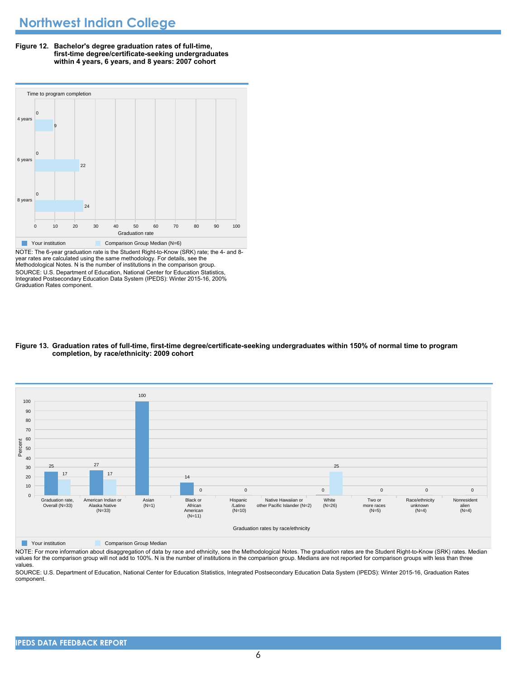**Figure 12. Bachelor's degree graduation rates of full-time, first-time degree/certificate-seeking undergraduates within 4 years, 6 years, and 8 years: 2007 cohort**



NOTE: The 6-year graduation rate is the Student Right-to-Know (SRK) rate; the 4- and 8 year rates are calculated using the same methodology. For details, see the Methodological Notes. N is the number of institutions in the comparison group. SOURCE: U.S. Department of Education, National Center for Education Statistics, Integrated Postsecondary Education Data System (IPEDS): Winter 2015-16, 200% Graduation Rates component.

## **Figure 13. Graduation rates of full-time, first-time degree/certificate-seeking undergraduates within 150% of normal time to program completion, by race/ethnicity: 2009 cohort**



**The Comparison Group Median** Comparison Group Median

NOTE: For more information about disaggregation of data by race and ethnicity, see the Methodological Notes. The graduation rates are the Student Right-to-Know (SRK) rates. Median values for the comparison group will not add to 100%. N is the number of institutions in the comparison group. Medians are not reported for comparison groups with less than three values.

SOURCE: U.S. Department of Education, National Center for Education Statistics, Integrated Postsecondary Education Data System (IPEDS): Winter 2015-16, Graduation Rates component.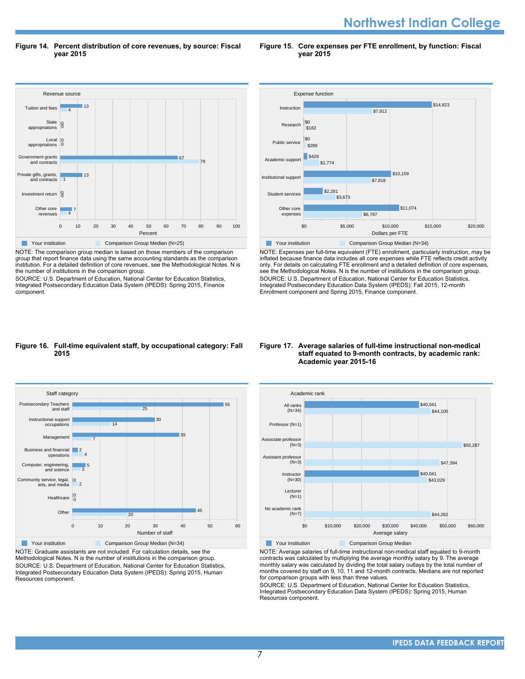**Northwest Indian College** 

**Figure 14. Percent distribution of core revenues, by source: Fiscal year 2015**

**Figure 15. Core expenses per FTE enrollment, by function: Fiscal year 2015**



NOTE: The comparison group median is based on those members of the comparison group that report finance data using the same accounting standards as the comparison institution. For a detailed definition of core revenues, see the Methodological Notes. N is the number of institutions in the comparison group.

SOURCE: U.S. Department of Education, National Center for Education Statistics, Integrated Postsecondary Education Data System (IPEDS): Spring 2015, Finance component.



NOTE: Expenses per full-time equivalent (FTE) enrollment, particularly instruction, may be inflated because finance data includes all core expenses while FTE reflects credit activity only. For details on calculating FTE enrollment and a detailed definition of core expenses, see the Methodological Notes. N is the number of institutions in the comparison group. SOURCE: U.S. Department of Education, National Center for Education Statistics, Integrated Postsecondary Education Data System (IPEDS): Fall 2015, 12-month Enrollment component and Spring 2015, Finance component.

#### **Figure 16. Full-time equivalent staff, by occupational category: Fall 2015**



NOTE: Graduate assistants are not included. For calculation details, see the Methodological Notes. N is the number of institutions in the comparison group. SOURCE: U.S. Department of Education, National Center for Education Statistics, Integrated Postsecondary Education Data System (IPEDS): Spring 2015, Human Resources component.

#### **Figure 17. Average salaries of full-time instructional non-medical staff equated to 9-month contracts, by academic rank: Academic year 2015-16**



NOTE: Average salaries of full-time instructional non-medical staff equated to 9-month contracts was calculated by multiplying the average monthly salary by 9. The average monthly salary was calculated by dividing the total salary outlays by the total number of months covered by staff on 9, 10, 11 and 12-month contracts. Medians are not reported for comparison groups with less than three values.

SOURCE: U.S. Department of Education, National Center for Education Statistics, Integrated Postsecondary Education Data System (IPEDS): Spring 2015, Human Resources component.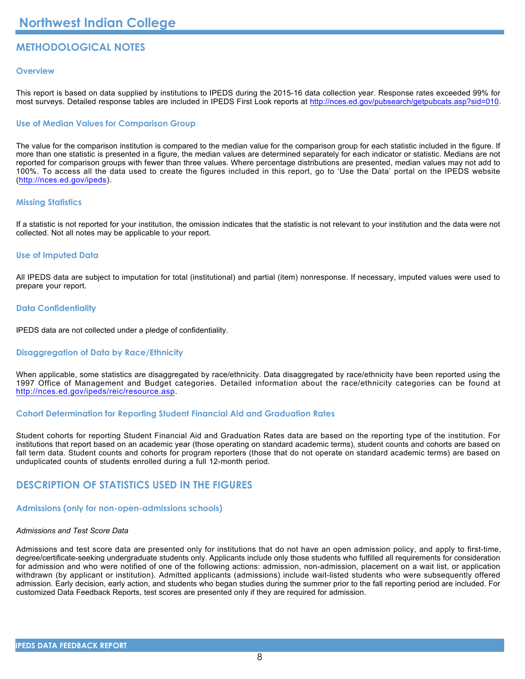# **METHODOLOGICAL NOTES**

# **Overview**

This report is based on data supplied by institutions to IPEDS during the 2015-16 data collection year. Response rates exceeded 99% for most surveys. Detailed response tables are included in IPEDS First Look reports at [http://nces.ed.gov/pubsearch/getpubcats.asp?sid=010.](http://nces.ed.gov/pubsearch/getpubcats.asp?sid=010)

# **Use of Median Values for Comparison Group**

The value for the comparison institution is compared to the median value for the comparison group for each statistic included in the figure. If more than one statistic is presented in a figure, the median values are determined separately for each indicator or statistic. Medians are not reported for comparison groups with fewer than three values. Where percentage distributions are presented, median values may not add to 100%. To access all the data used to create the figures included in this report, go to 'Use the Data' portal on the IPEDS website (<http://nces.ed.gov/ipeds>).

# **Missing Statistics**

If a statistic is not reported for your institution, the omission indicates that the statistic is not relevant to your institution and the data were not collected. Not all notes may be applicable to your report.

# **Use of Imputed Data**

All IPEDS data are subject to imputation for total (institutional) and partial (item) nonresponse. If necessary, imputed values were used to prepare your report.

# **Data Confidentiality**

IPEDS data are not collected under a pledge of confidentiality.

# **Disaggregation of Data by Race/Ethnicity**

When applicable, some statistics are disaggregated by race/ethnicity. Data disaggregated by race/ethnicity have been reported using the 1997 Office of Management and Budget categories. Detailed information about the race/ethnicity categories can be found at <http://nces.ed.gov/ipeds/reic/resource.asp>.

# **Cohort Determination for Reporting Student Financial Aid and Graduation Rates**

Student cohorts for reporting Student Financial Aid and Graduation Rates data are based on the reporting type of the institution. For institutions that report based on an academic year (those operating on standard academic terms), student counts and cohorts are based on fall term data. Student counts and cohorts for program reporters (those that do not operate on standard academic terms) are based on unduplicated counts of students enrolled during a full 12-month period.

# **DESCRIPTION OF STATISTICS USED IN THE FIGURES**

# **Admissions (only for non-open-admissions schools)**

# *Admissions and Test Score Data*

Admissions and test score data are presented only for institutions that do not have an open admission policy, and apply to first-time, degree/certificate-seeking undergraduate students only. Applicants include only those students who fulfilled all requirements for consideration for admission and who were notified of one of the following actions: admission, non-admission, placement on a wait list, or application withdrawn (by applicant or institution). Admitted applicants (admissions) include wait-listed students who were subsequently offered admission. Early decision, early action, and students who began studies during the summer prior to the fall reporting period are included. For customized Data Feedback Reports, test scores are presented only if they are required for admission.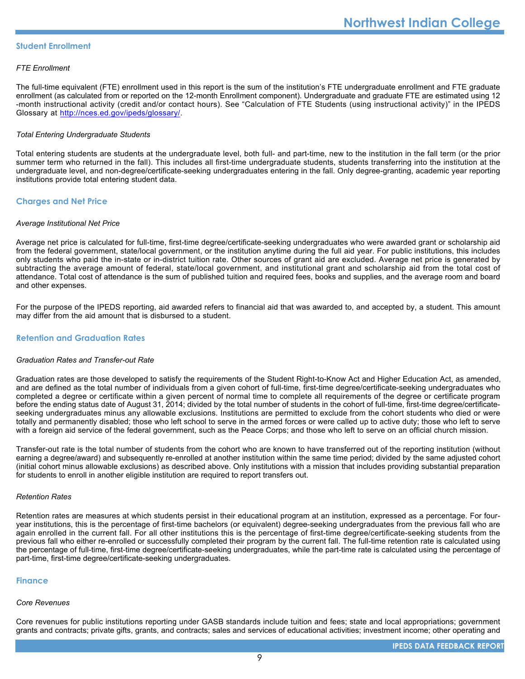# **Student Enrollment**

# *FTE Enrollment*

The full-time equivalent (FTE) enrollment used in this report is the sum of the institution's FTE undergraduate enrollment and FTE graduate enrollment (as calculated from or reported on the 12-month Enrollment component). Undergraduate and graduate FTE are estimated using 12 -month instructional activity (credit and/or contact hours). See "Calculation of FTE Students (using instructional activity)" in the IPEDS Glossary at <http://nces.ed.gov/ipeds/glossary/>.

# *Total Entering Undergraduate Students*

Total entering students are students at the undergraduate level, both full- and part-time, new to the institution in the fall term (or the prior summer term who returned in the fall). This includes all first-time undergraduate students, students transferring into the institution at the undergraduate level, and non-degree/certificate-seeking undergraduates entering in the fall. Only degree-granting, academic year reporting institutions provide total entering student data.

# **Charges and Net Price**

## *Average Institutional Net Price*

Average net price is calculated for full-time, first-time degree/certificate-seeking undergraduates who were awarded grant or scholarship aid from the federal government, state/local government, or the institution anytime during the full aid year. For public institutions, this includes only students who paid the in-state or in-district tuition rate. Other sources of grant aid are excluded. Average net price is generated by subtracting the average amount of federal, state/local government, and institutional grant and scholarship aid from the total cost of attendance. Total cost of attendance is the sum of published tuition and required fees, books and supplies, and the average room and board and other expenses.

For the purpose of the IPEDS reporting, aid awarded refers to financial aid that was awarded to, and accepted by, a student. This amount may differ from the aid amount that is disbursed to a student.

# **Retention and Graduation Rates**

## *Graduation Rates and Transfer-out Rate*

Graduation rates are those developed to satisfy the requirements of the Student Right-to-Know Act and Higher Education Act, as amended, and are defined as the total number of individuals from a given cohort of full-time, first-time degree/certificate-seeking undergraduates who completed a degree or certificate within a given percent of normal time to complete all requirements of the degree or certificate program before the ending status date of August 31, 2014; divided by the total number of students in the cohort of full-time, first-time degree/certificateseeking undergraduates minus any allowable exclusions. Institutions are permitted to exclude from the cohort students who died or were totally and permanently disabled; those who left school to serve in the armed forces or were called up to active duty; those who left to serve with a foreign aid service of the federal government, such as the Peace Corps; and those who left to serve on an official church mission.

Transfer-out rate is the total number of students from the cohort who are known to have transferred out of the reporting institution (without earning a degree/award) and subsequently re-enrolled at another institution within the same time period; divided by the same adjusted cohort (initial cohort minus allowable exclusions) as described above. Only institutions with a mission that includes providing substantial preparation for students to enroll in another eligible institution are required to report transfers out.

## *Retention Rates*

Retention rates are measures at which students persist in their educational program at an institution, expressed as a percentage. For fouryear institutions, this is the percentage of first-time bachelors (or equivalent) degree-seeking undergraduates from the previous fall who are again enrolled in the current fall. For all other institutions this is the percentage of first-time degree/certificate-seeking students from the previous fall who either re-enrolled or successfully completed their program by the current fall. The full-time retention rate is calculated using the percentage of full-time, first-time degree/certificate-seeking undergraduates, while the part-time rate is calculated using the percentage of part-time, first-time degree/certificate-seeking undergraduates.

## **Finance**

## *Core Revenues*

Core revenues for public institutions reporting under GASB standards include tuition and fees; state and local appropriations; government grants and contracts; private gifts, grants, and contracts; sales and services of educational activities; investment income; other operating and